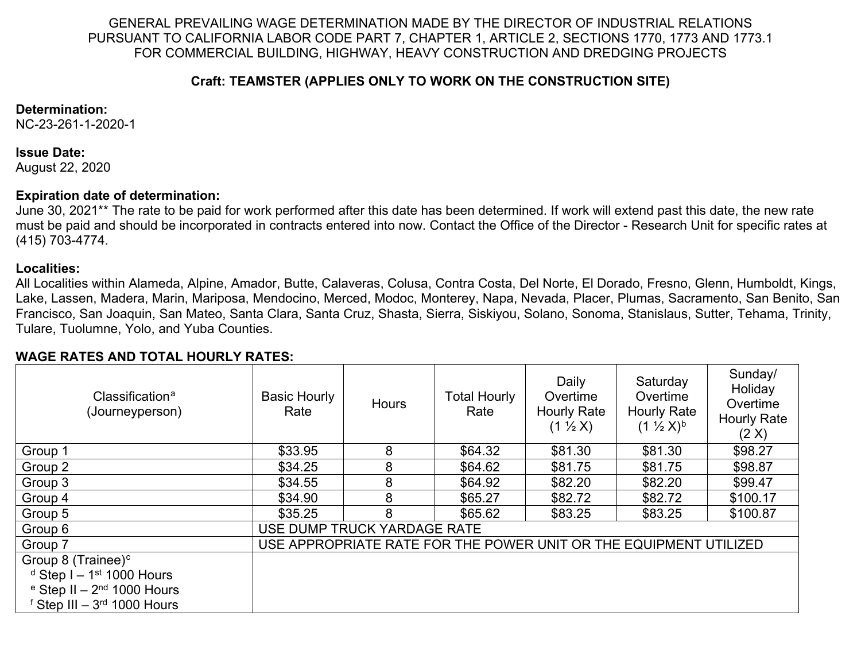GENERAL PREVAILING WAGE DETERMINATION MADE BY THE DIRECTOR OF INDUSTRIAL RELATIONS PURSUANT TO CALIFORNIA LABOR CODE PART 7, CHAPTER 1, ARTICLE 2, SECTIONS 1770, 1773 AND 1773.1 FOR COMMERCIAL BUILDING, HIGHWAY, HEAVY CONSTRUCTION AND DREDGING PROJECTS

### <span id="page-0-1"></span>**Craft: TEAMSTER (APPLIES ONLY TO WORK ON THE CONSTRUCTION SITE)**

#### **Determination:**

NC-23-261-1-2020-1

#### **Issue Date:**

August 22, 2020

## **Expiration date of determination:**

June 30, 2021\*\* The rate to be paid for work performed after this date has been determined. If work will extend past this date, the new rate must be paid and should be incorporated in contracts entered into now. Contact the Office of the Director - Research Unit for specific rates at (415) 703-4774.

## **Localities:**

All Localities within Alameda, Alpine, Amador, Butte, Calaveras, Colusa, Contra Costa, Del Norte, El Dorado, Fresno, Glenn, Humboldt, Kings, Lake, Lassen, Madera, Marin, Mariposa, Mendocino, Merced, Modoc, Monterey, Napa, Nevada, Placer, Plumas, Sacramento, San Benito, San Francisco, San Joaquin, San Mateo, Santa Clara, Santa Cruz, Shasta, Sierra, Siskiyou, Solano, Sonoma, Stanislaus, Sutter, Tehama, Trinity, Tulare, Tuolumne, Yolo, and Yuba Counties.

## **WAGE RATES AND TOTAL HOURLY RATES:**

<span id="page-0-5"></span><span id="page-0-4"></span><span id="page-0-3"></span><span id="page-0-2"></span><span id="page-0-0"></span>

| Classification <sup>a</sup><br>(Journeyperson) | <b>Basic Hourly</b><br>Rate                                       | <b>Hours</b> | <b>Total Hourly</b><br>Rate | Daily<br>Overtime<br><b>Hourly Rate</b><br>$(1 \frac{1}{2} X)$ | Saturday<br>Overtime<br><b>Hourly Rate</b><br>$(1 \frac{1}{2} X)^{b}$ | Sunday/<br>Holiday<br>Overtime<br><b>Hourly Rate</b><br>(2 X) |
|------------------------------------------------|-------------------------------------------------------------------|--------------|-----------------------------|----------------------------------------------------------------|-----------------------------------------------------------------------|---------------------------------------------------------------|
| Group 1                                        | \$33.95                                                           | 8            | \$64.32                     | \$81.30                                                        | \$81.30                                                               | \$98.27                                                       |
| Group 2                                        | \$34.25                                                           | 8            | \$64.62                     | \$81.75                                                        | \$81.75                                                               | \$98.87                                                       |
| Group 3                                        | \$34.55                                                           | 8            | \$64.92                     | \$82.20                                                        | \$82.20                                                               | \$99.47                                                       |
| Group 4                                        | \$34.90                                                           | 8            | \$65.27                     | \$82.72                                                        | \$82.72                                                               | \$100.17                                                      |
| Group 5                                        | \$35.25                                                           | 8            | \$65.62                     | \$83.25                                                        | \$83.25                                                               | \$100.87                                                      |
| Group 6                                        | USE DUMP TRUCK YARDAGE RATE                                       |              |                             |                                                                |                                                                       |                                                               |
| Group 7                                        | USE APPROPRIATE RATE FOR THE POWER UNIT OR THE EQUIPMENT UTILIZED |              |                             |                                                                |                                                                       |                                                               |
| Group 8 (Trainee) <sup>c</sup>                 |                                                                   |              |                             |                                                                |                                                                       |                                                               |
| $d$ Step I – 1 <sup>st</sup> 1000 Hours        |                                                                   |              |                             |                                                                |                                                                       |                                                               |
| $e$ Step II – 2 <sup>nd</sup> 1000 Hours       |                                                                   |              |                             |                                                                |                                                                       |                                                               |
| $f$ Step III – 3 <sup>rd</sup> 1000 Hours      |                                                                   |              |                             |                                                                |                                                                       |                                                               |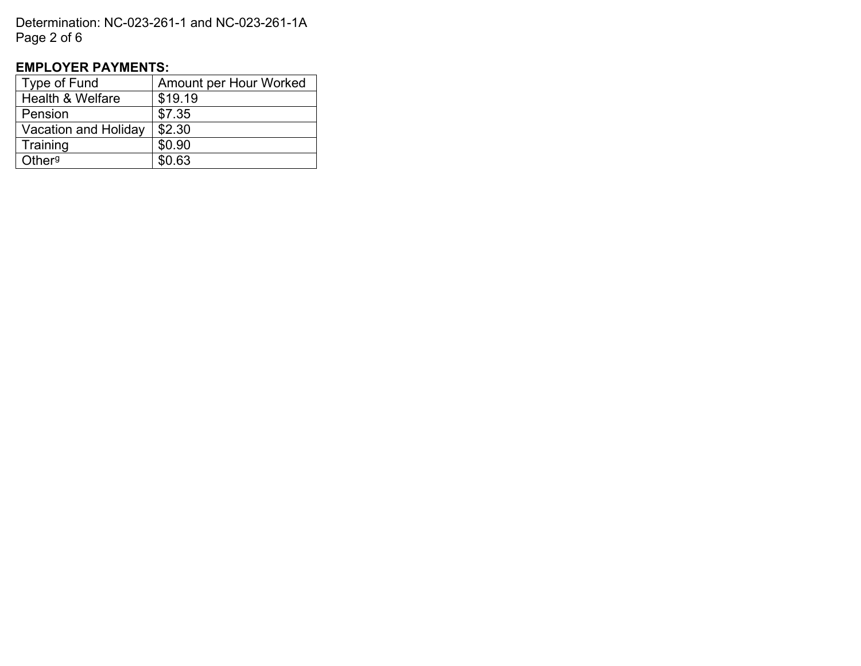Determination: NC-023-261-1 and NC-023-261-1A Page 2 of 6

# **EMPLOYER PAYMENTS:**

<span id="page-1-0"></span>

| Type of Fund                | Amount per Hour Worked |  |  |  |
|-----------------------------|------------------------|--|--|--|
| <b>Health &amp; Welfare</b> | \$19.19                |  |  |  |
| Pension                     | \$7.35                 |  |  |  |
| <b>Vacation and Holiday</b> | \$2.30                 |  |  |  |
| Training                    | \$0.90                 |  |  |  |
| Other <sup>g</sup>          | \$0.63                 |  |  |  |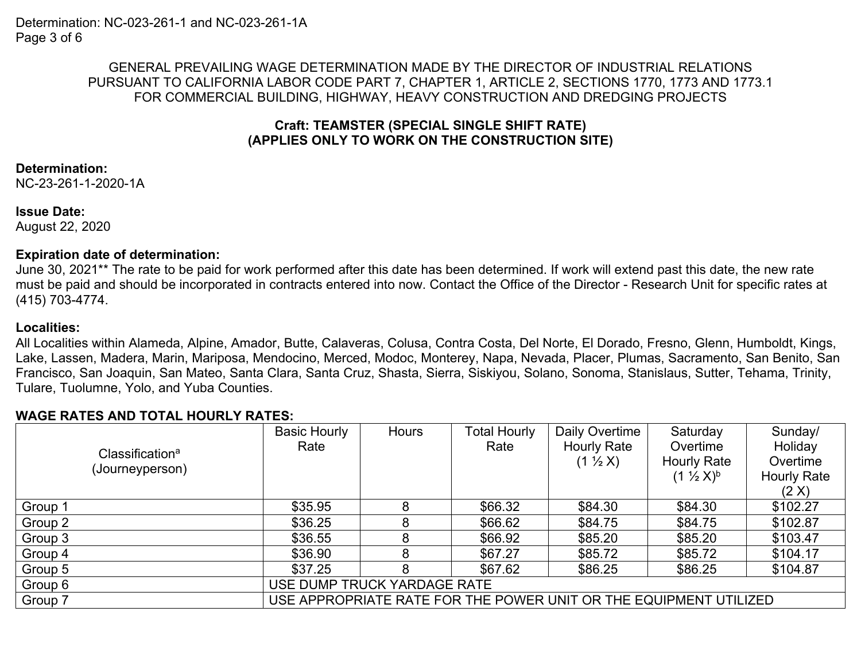## GENERAL PREVAILING WAGE DETERMINATION MADE BY THE DIRECTOR OF INDUSTRIAL RELATIONS PURSUANT TO CALIFORNIA LABOR CODE PART 7, CHAPTER 1, ARTICLE 2, SECTIONS 1770, 1773 AND 1773.1 FOR COMMERCIAL BUILDING, HIGHWAY, HEAVY CONSTRUCTION AND DREDGING PROJECTS

## **Craft: TEAMSTER (SPECIAL SINGLE SHIFT RATE) (APPLIES ONLY TO WORK ON THE CONSTRUCTION SITE)**

## **Determination:**

NC-23-261-1-2020-1A

#### **Issue Date:**

August 22, 2020

## **Expiration date of determination:**

June 30, 2021\*\* The rate to be paid for work performed after this date has been determined. If work will extend past this date, the new rate must be paid and should be incorporated in contracts entered into now. Contact the Office of the Director - Research Unit for specific rates at (415) 703-4774.

## **Localities:**

All Localities within Alameda, Alpine, Amador, Butte, Calaveras, Colusa, Contra Costa, Del Norte, El Dorado, Fresno, Glenn, Humboldt, Kings, Lake, Lassen, Madera, Marin, Mariposa, Mendocino, Merced, Modoc, Monterey, Napa, Nevada, Placer, Plumas, Sacramento, San Benito, San Francisco, San Joaquin, San Mateo, Santa Clara, Santa Cruz, Shasta, Sierra, Siskiyou, Solano, Sonoma, Stanislaus, Sutter, Tehama, Trinity, Tulare, Tuolumne, Yolo, and Yuba Counties.

# **WAGE RATES AND TOTAL HOURLY RATES:**

|                                                | <b>Basic Hourly</b>                                               | Hours | Total Hourly | Daily Overtime      | Saturday                | Sunday/            |
|------------------------------------------------|-------------------------------------------------------------------|-------|--------------|---------------------|-------------------------|--------------------|
| Classification <sup>a</sup><br>(Journeyperson) | Rate                                                              |       | Rate         | <b>Hourly Rate</b>  | Overtime                | Holiday            |
|                                                |                                                                   |       |              | $(1 \frac{1}{2} X)$ | <b>Hourly Rate</b>      | Overtime           |
|                                                |                                                                   |       |              |                     | $(1 \frac{1}{2} X)^{b}$ | <b>Hourly Rate</b> |
|                                                |                                                                   |       |              |                     |                         | (2 X)              |
| Group 1                                        | \$35.95                                                           | 8     | \$66.32      | \$84.30             | \$84.30                 | \$102.27           |
| Group 2                                        | \$36.25                                                           |       | \$66.62      | \$84.75             | \$84.75                 | \$102.87           |
| Group 3                                        | \$36.55                                                           |       | \$66.92      | \$85.20             | \$85.20                 | \$103.47           |
| Group 4                                        | \$36.90                                                           |       | \$67.27      | \$85.72             | \$85.72                 | \$104.17           |
| Group 5                                        | \$37.25                                                           | 8     | \$67.62      | \$86.25             | \$86.25                 | \$104.87           |
| Group 6                                        | USE DUMP TRUCK YARDAGE RATE                                       |       |              |                     |                         |                    |
| Group 7                                        | USE APPROPRIATE RATE FOR THE POWER UNIT OR THE EQUIPMENT UTILIZED |       |              |                     |                         |                    |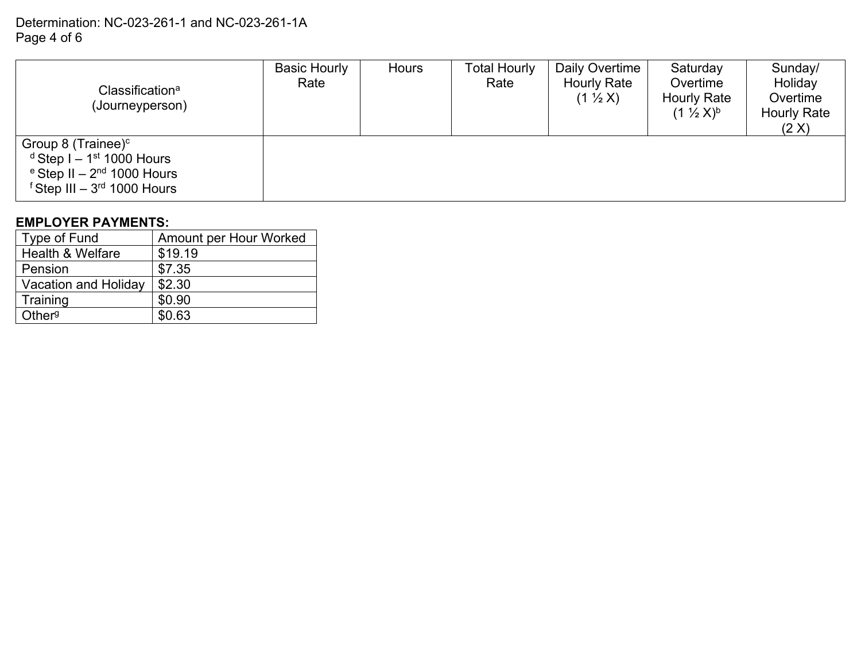# Determination: NC-023-261-1 and NC-023-261-1A Page 4 of 6

| Classification <sup>a</sup><br>(Journeyperson)                                                                                                          | <b>Basic Hourly</b><br>Rate | <b>Hours</b> | <b>Total Hourly</b><br>Rate | Daily Overtime<br><b>Hourly Rate</b><br>$(1 \frac{1}{2} X)$ | Saturday<br>Overtime<br><b>Hourly Rate</b><br>$(1 \frac{1}{2} X)^{b}$ | Sunday/<br>Holiday<br>Overtime<br><b>Hourly Rate</b><br>(2 X) |
|---------------------------------------------------------------------------------------------------------------------------------------------------------|-----------------------------|--------------|-----------------------------|-------------------------------------------------------------|-----------------------------------------------------------------------|---------------------------------------------------------------|
| Group 8 (Trainee) $c$<br>$d$ Step I – 1 <sup>st</sup> 1000 Hours<br>$\mathrm{e}$ Step II – 2 <sup>nd</sup> 1000 Hours<br>$f$ Step III $-3rd$ 1000 Hours |                             |              |                             |                                                             |                                                                       |                                                               |

## **EMPLOYER PAYMENTS:**

| Type of Fund                | Amount per Hour Worked |
|-----------------------------|------------------------|
| <b>Health &amp; Welfare</b> | \$19.19                |
| Pension                     | \$7.35                 |
| Vacation and Holiday        | \$2.30                 |
| Training                    | \$0.90                 |
| Other <sup>g</sup>          | \$0.63                 |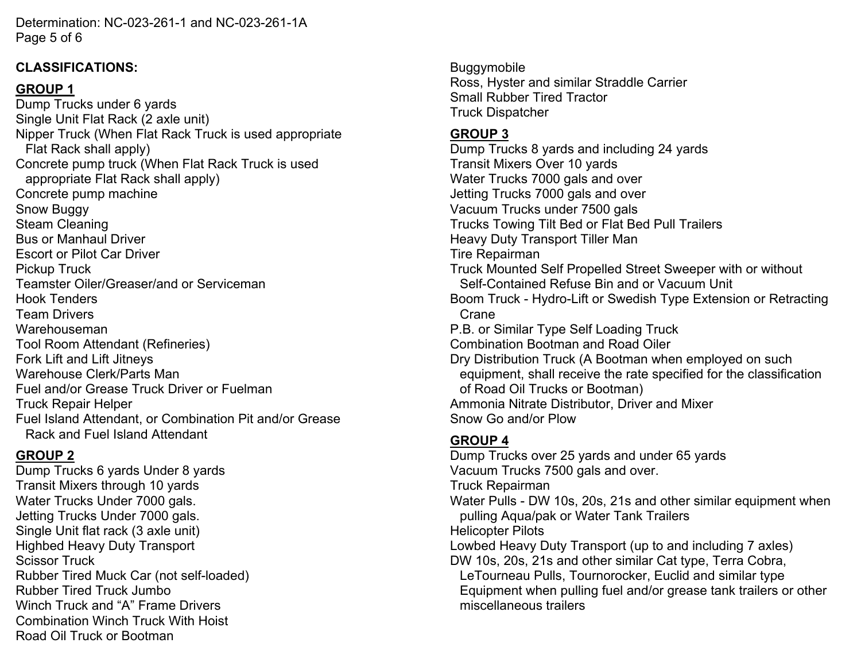Determination: NC-023-261-1 and NC-023-261-1A Page 5 of 6

## **CLASSIFICATIONS:**

# **GROUP 1**

Dump Trucks under 6 yards Single Unit Flat Rack (2 axle unit) Nipper Truck (When Flat Rack Truck is used appropriate Flat Rack shall apply) Concrete pump truck (When Flat Rack Truck is used appropriate Flat Rack shall apply) Concrete pump machine Snow Buggy Steam Cleaning Bus or Manhaul Driver Escort or Pilot Car Driver Pickup Truck Teamster Oiler/Greaser/and or Serviceman Hook Tenders Team Drivers Warehouseman Tool Room Attendant (Refineries) Fork Lift and Lift Jitneys Warehouse Clerk/Parts Man Fuel and/or Grease Truck Driver or Fuelman Truck Repair Helper Fuel Island Attendant, or Combination Pit and/or Grease Rack and Fuel Island Attendant

# **GROUP 2**

Dump Trucks 6 yards Under 8 yards Transit Mixers through 10 yards Water Trucks Under 7000 gals. Jetting Trucks Under 7000 gals. Single Unit flat rack (3 axle unit) Highbed Heavy Duty Transport Scissor Truck Rubber Tired Muck Car (not self-loaded) Rubber Tired Truck Jumbo Winch Truck and "A" Frame Drivers Combination Winch Truck With Hoist Road Oil Truck or Bootman

**Buggymobile** Ross, Hyster and similar Straddle Carrier Small Rubber Tired Tractor Truck Dispatcher

# **GROUP 3**

Dump Trucks 8 yards and including 24 yards Transit Mixers Over 10 yards Water Trucks 7000 gals and over Jetting Trucks 7000 gals and over Vacuum Trucks under 7500 gals Trucks Towing Tilt Bed or Flat Bed Pull Trailers Heavy Duty Transport Tiller Man Tire Repairman Truck Mounted Self Propelled Street Sweeper with or without Self-Contained Refuse Bin and or Vacuum Unit Boom Truck - Hydro-Lift or Swedish Type Extension or Retracting Crane P.B. or Similar Type Self Loading Truck Combination Bootman and Road Oiler Dry Distribution Truck (A Bootman when employed on such equipment, shall receive the rate specified for the classification of Road Oil Trucks or Bootman) Ammonia Nitrate Distributor, Driver and Mixer Snow Go and/or Plow

# **GROUP 4**

Dump Trucks over 25 yards and under 65 yards Vacuum Trucks 7500 gals and over. Truck Repairman Water Pulls - DW 10s, 20s, 21s and other similar equipment when pulling Aqua/pak or Water Tank Trailers Helicopter Pilots Lowbed Heavy Duty Transport (up to and including 7 axles) DW 10s, 20s, 21s and other similar Cat type, Terra Cobra, LeTourneau Pulls, Tournorocker, Euclid and similar type Equipment when pulling fuel and/or grease tank trailers or other miscellaneous trailers